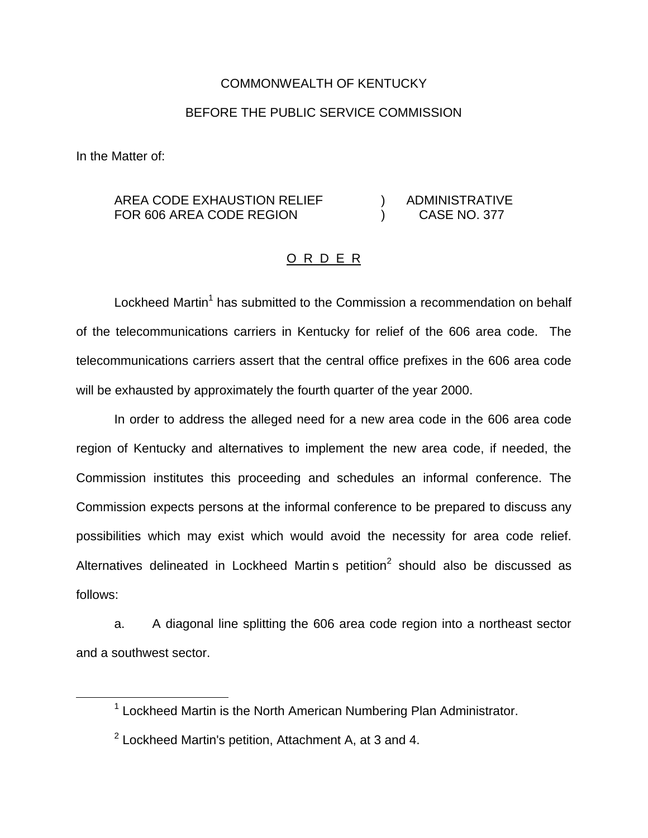## COMMONWEALTH OF KENTUCKY

## BEFORE THE PUBLIC SERVICE COMMISSION

In the Matter of:

## AREA CODE EXHAUSTION RELIEF ) ADMINISTRATIVE FOR 606 AREA CODE REGION (CASE NO. 377

## O R D E R

Lockheed Martin<sup>1</sup> has submitted to the Commission a recommendation on behalf of the telecommunications carriers in Kentucky for relief of the 606 area code. The telecommunications carriers assert that the central office prefixes in the 606 area code will be exhausted by approximately the fourth quarter of the year 2000.

In order to address the alleged need for a new area code in the 606 area code region of Kentucky and alternatives to implement the new area code, if needed, the Commission institutes this proceeding and schedules an informal conference. The Commission expects persons at the informal conference to be prepared to discuss any possibilities which may exist which would avoid the necessity for area code relief. Alternatives delineated in Lockheed Martin s petition $^2$  should also be discussed as follows:

a. A diagonal line splitting the 606 area code region into a northeast sector and a southwest sector.

 $1$  Lockheed Martin is the North American Numbering Plan Administrator.

 $2$  Lockheed Martin's petition. Attachment A, at 3 and 4.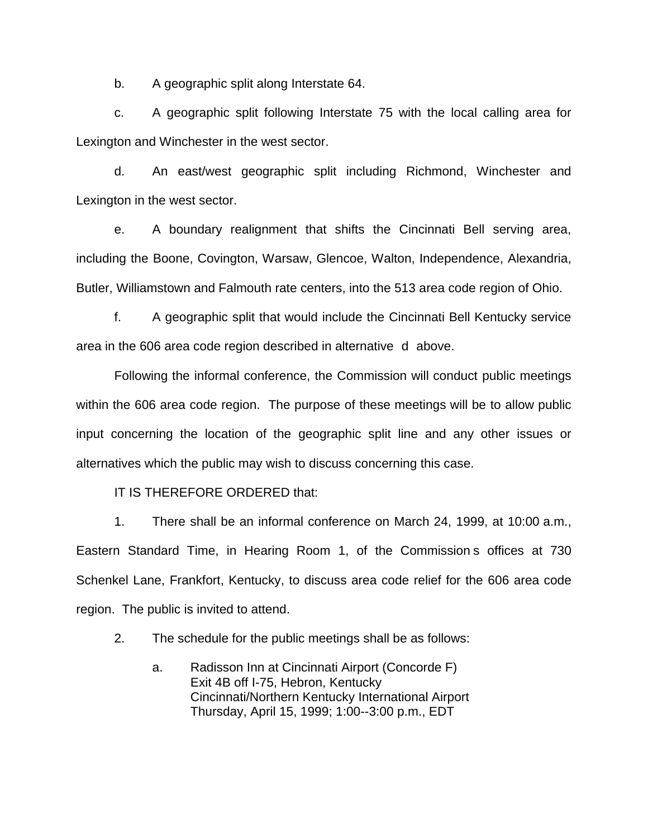b. A geographic split along Interstate 64.

c. A geographic split following Interstate 75 with the local calling area for Lexington and Winchester in the west sector.

d. An east/west geographic split including Richmond, Winchester and Lexington in the west sector.

e. A boundary realignment that shifts the Cincinnati Bell serving area, including the Boone, Covington, Warsaw, Glencoe, Walton, Independence, Alexandria, Butler, Williamstown and Falmouth rate centers, into the 513 area code region of Ohio.

f. A geographic split that would include the Cincinnati Bell Kentucky service area in the 606 area code region described in alternative d above.

Following the informal conference, the Commission will conduct public meetings within the 606 area code region. The purpose of these meetings will be to allow public input concerning the location of the geographic split line and any other issues or alternatives which the public may wish to discuss concerning this case.

IT IS THEREFORE ORDERED that:

1. There shall be an informal conference on March 24, 1999, at 10:00 a.m., Eastern Standard Time, in Hearing Room 1, of the Commission s offices at 730 Schenkel Lane, Frankfort, Kentucky, to discuss area code relief for the 606 area code region. The public is invited to attend.

2. The schedule for the public meetings shall be as follows:

a. Radisson Inn at Cincinnati Airport (Concorde F) Exit 4B off I-75, Hebron, Kentucky Cincinnati/Northern Kentucky International Airport Thursday, April 15, 1999; 1:00--3:00 p.m., EDT